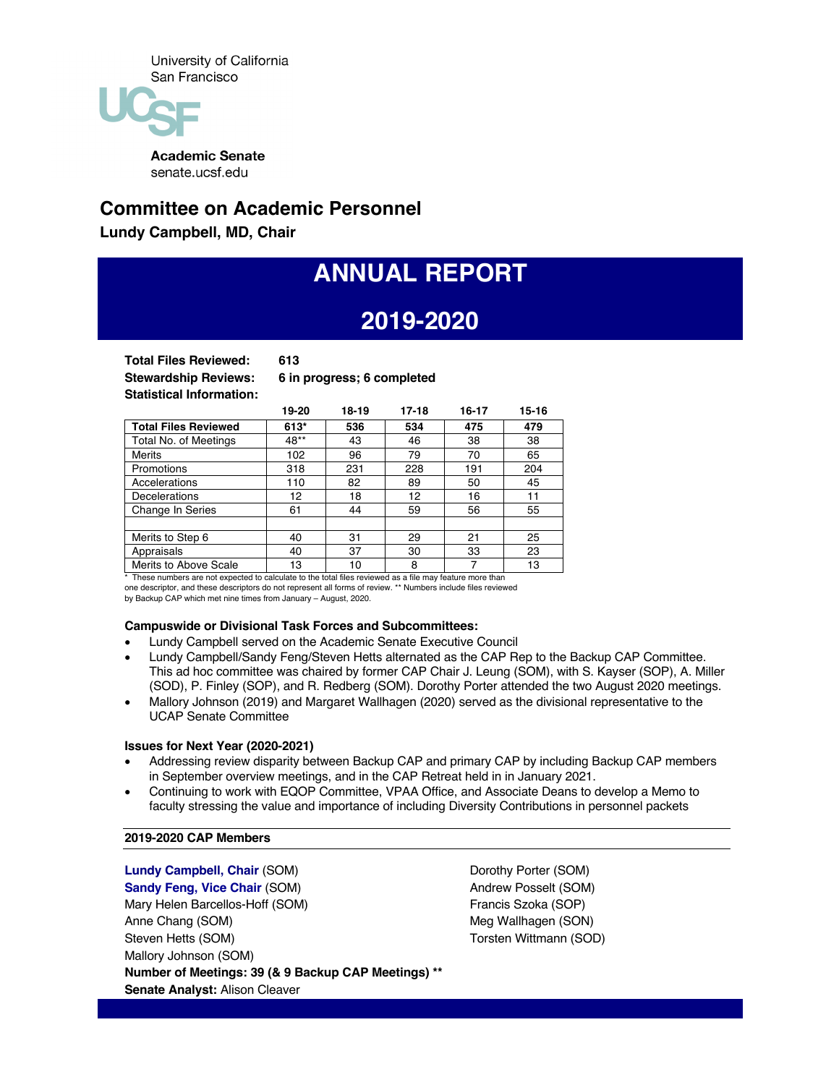

**Academic Senate** senate.ucsf.edu

## **Committee on Academic Personnel**

**Lundy Campbell, MD, Chair**

# **ANNUAL REPORT**

## **2019-2020**

**Total Files Reviewed: 613**

**Stewardship Reviews: 6 in progress; 6 completed**

|                             | 19-20  | $18-19$ | $17 - 18$ | $16 - 17$ | $15 - 16$ |
|-----------------------------|--------|---------|-----------|-----------|-----------|
| <b>Total Files Reviewed</b> | $613*$ | 536     | 534       | 475       | 479       |
| Total No. of Meetings       | 48**   | 43      | 46        | 38        | 38        |
| <b>Merits</b>               | 102    | 96      | 79        | 70        | 65        |
| Promotions                  | 318    | 231     | 228       | 191       | 204       |
| Accelerations               | 110    | 82      | 89        | 50        | 45        |
| <b>Decelerations</b>        | 12     | 18      | 12        | 16        | 11        |
| Change In Series            | 61     | 44      | 59        | 56        | 55        |
|                             |        |         |           |           |           |
| Merits to Step 6            | 40     | 31      | 29        | 21        | 25        |
| Appraisals                  | 40     | 37      | 30        | 33        | 23        |
| Merits to Above Scale       | 13     | 10      | 8         |           | 13        |

\* These numbers are not expected to calculate to the total files reviewed as a file may feature more than one descriptor, and these descriptors do not represent all forms of review. \*\* Numbers include files reviewed

by Backup CAP which met nine times from January – August, 2020.

#### **Campuswide or Divisional Task Forces and Subcommittees:**

- Lundy Campbell served on the Academic Senate Executive Council
- Lundy Campbell/Sandy Feng/Steven Hetts alternated as the CAP Rep to the Backup CAP Committee. This ad hoc committee was chaired by former CAP Chair J. Leung (SOM), with S. Kayser (SOP), A. Miller (SOD), P. Finley (SOP), and R. Redberg (SOM). Dorothy Porter attended the two August 2020 meetings.
- Mallory Johnson (2019) and Margaret Wallhagen (2020) served as the divisional representative to the UCAP Senate Committee

#### **Issues for Next Year (2020-2021)**

- Addressing review disparity between Backup CAP and primary CAP by including Backup CAP members in September overview meetings, and in the CAP Retreat held in in January 2021.
- Continuing to work with EQOP Committee, VPAA Office, and Associate Deans to develop a Memo to faculty stressing the value and importance of including Diversity Contributions in personnel packets

#### **2019-2020 CAP Members**

**Lundy Campbell, Chair** (SOM) **Sandy Feng, Vice Chair** (SOM) Mary Helen Barcellos-Hoff (SOM) Anne Chang (SOM) Steven Hetts (SOM) Mallory Johnson (SOM) **Number of Meetings: 39 (& 9 Backup CAP Meetings) \*\* Senate Analyst:** Alison Cleaver

Dorothy Porter (SOM) Andrew Posselt (SOM) Francis Szoka (SOP) Meg Wallhagen (SON) Torsten Wittmann (SOD)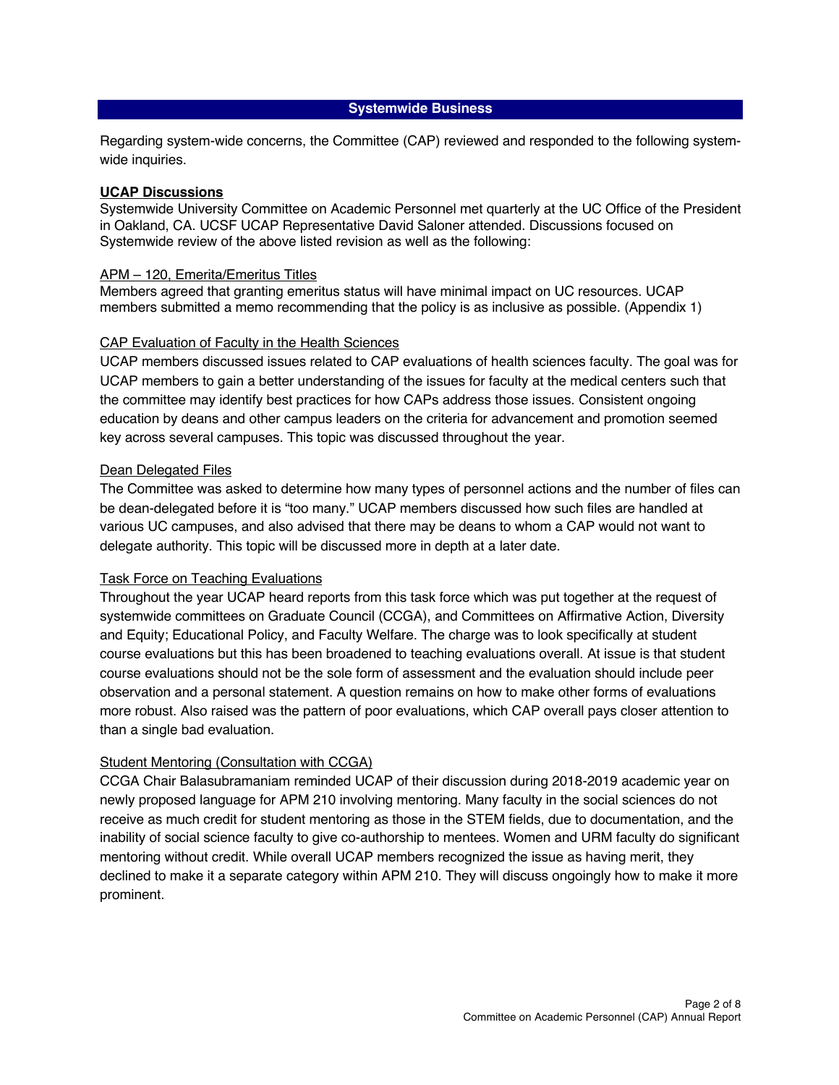### **Systemwide Business**

Regarding system-wide concerns, the Committee (CAP) reviewed and responded to the following systemwide inquiries.

## **UCAP Discussions**

Systemwide University Committee on Academic Personnel met quarterly at the UC Office of the President in Oakland, CA. UCSF UCAP Representative David Saloner attended. Discussions focused on Systemwide review of the above listed revision as well as the following:

### APM – 120, Emerita/Emeritus Titles

Members agreed that granting emeritus status will have minimal impact on UC resources. UCAP members submitted a memo recommending that the policy is as inclusive as possible. [\(Appendix 1\)](https://senate.ucsf.edu/sites/default/files/2021-08/CAP-Annual-Report-Attachment%201-2019-2020.pdf)

## CAP Evaluation of Faculty in the Health Sciences

UCAP members discussed issues related to CAP evaluations of health sciences faculty. The goal was for UCAP members to gain a better understanding of the issues for faculty at the medical centers such that the committee may identify best practices for how CAPs address those issues. Consistent ongoing education by deans and other campus leaders on the criteria for advancement and promotion seemed key across several campuses. This topic was discussed throughout the year.

#### Dean Delegated Files

The Committee was asked to determine how many types of personnel actions and the number of files can be dean-delegated before it is "too many." UCAP members discussed how such files are handled at various UC campuses, and also advised that there may be deans to whom a CAP would not want to delegate authority. This topic will be discussed more in depth at a later date.

#### Task Force on Teaching Evaluations

Throughout the year UCAP heard reports from this task force which was put together at the request of systemwide committees on Graduate Council (CCGA), and Committees on Affirmative Action, Diversity and Equity; Educational Policy, and Faculty Welfare. The charge was to look specifically at student course evaluations but this has been broadened to teaching evaluations overall. At issue is that student course evaluations should not be the sole form of assessment and the evaluation should include peer observation and a personal statement. A question remains on how to make other forms of evaluations more robust. Also raised was the pattern of poor evaluations, which CAP overall pays closer attention to than a single bad evaluation.

## Student Mentoring (Consultation with CCGA)

CCGA Chair Balasubramaniam reminded UCAP of their discussion during 2018-2019 academic year on newly proposed language for APM 210 involving mentoring. Many faculty in the social sciences do not receive as much credit for student mentoring as those in the STEM fields, due to documentation, and the inability of social science faculty to give co-authorship to mentees. Women and URM faculty do significant mentoring without credit. While overall UCAP members recognized the issue as having merit, they declined to make it a separate category within APM 210. They will discuss ongoingly how to make it more prominent.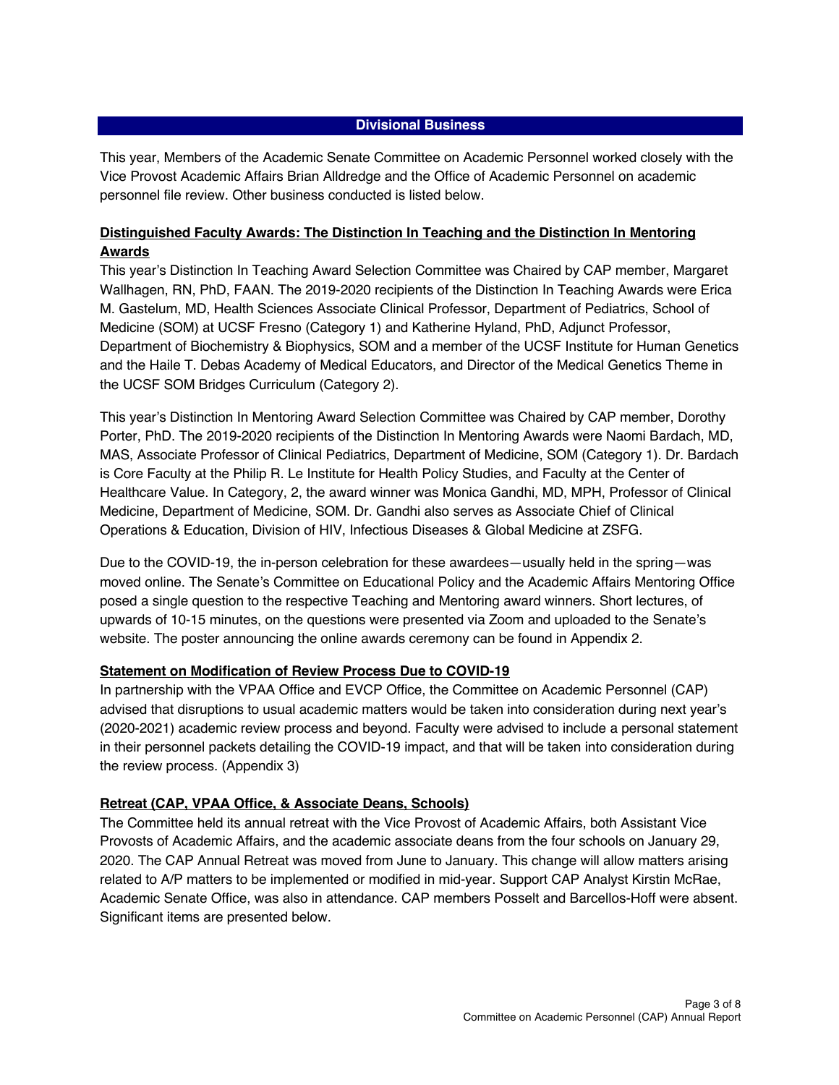## **Divisional Business**

This year, Members of the Academic Senate Committee on Academic Personnel worked closely with the Vice Provost Academic Affairs Brian Alldredge and the Office of Academic Personnel on academic personnel file review. Other business conducted is listed below.

## **Distinguished Faculty Awards: The Distinction In Teaching and the Distinction In Mentoring Awards**

This year's Distinction In Teaching Award Selection Committee was Chaired by CAP member, Margaret Wallhagen, RN, PhD, FAAN. The 2019-2020 recipients of the Distinction In Teaching Awards were Erica M. Gastelum, MD, Health Sciences Associate Clinical Professor, Department of Pediatrics, School of Medicine (SOM) at UCSF Fresno (Category 1) and Katherine Hyland, PhD, Adjunct Professor, Department of Biochemistry & Biophysics, SOM and a member of the UCSF Institute for Human Genetics and the Haile T. Debas Academy of Medical Educators, and Director of the Medical Genetics Theme in the UCSF SOM Bridges Curriculum (Category 2).

This year's Distinction In Mentoring Award Selection Committee was Chaired by CAP member, Dorothy Porter, PhD. The 2019-2020 recipients of the Distinction In Mentoring Awards were Naomi Bardach, MD, MAS, Associate Professor of Clinical Pediatrics, Department of Medicine, SOM (Category 1). Dr. Bardach is Core Faculty at the Philip R. Le Institute for Health Policy Studies, and Faculty at the Center of Healthcare Value. In Category, 2, the award winner was Monica Gandhi, MD, MPH, Professor of Clinical Medicine, Department of Medicine, SOM. Dr. Gandhi also serves as Associate Chief of Clinical Operations & Education, Division of HIV, Infectious Diseases & Global Medicine at ZSFG.

Due to the COVID-19, the in-person celebration for these awardees—usually held in the spring—was moved online. The Senate's Committee on Educational Policy and the Academic Affairs Mentoring Office posed a single question to the respective Teaching and Mentoring award winners. Short lectures, of upwards of 10-15 minutes, on the questions were presented via Zoom and uploaded to the Senate's website. The poster announcing the online awards ceremony can be found in [Appendix 2.](https://senateserviceportal.ucsf.edu/senatedocs/2020-2021/dfa-poster-2020-10-20-Tall.pdf)

## **Statement on Modification of Review Process Due to COVID-19**

In partnership with the VPAA Office and EVCP Office, the Committee on Academic Personnel (CAP) advised that disruptions to usual academic matters would be taken into consideration during next year's (2020-2021) academic review process and beyond. Faculty were advised to include a personal statement in their personnel packets detailing the COVID-19 impact, and that will be taken into consideration during the review process. [\(Appendix 3\)](https://senate.ucsf.edu/sites/default/files/2021-08/CAP-Annual-Report-Attachment%203-2019-2020.pdf)

## **Retreat (CAP, VPAA Office, & Associate Deans, Schools)**

The Committee held its annual retreat with the Vice Provost of Academic Affairs, both Assistant Vice Provosts of Academic Affairs, and the academic associate deans from the four schools on January 29, 2020. The CAP Annual Retreat was moved from June to January. This change will allow matters arising related to A/P matters to be implemented or modified in mid-year. Support CAP Analyst Kirstin McRae, Academic Senate Office, was also in attendance. CAP members Posselt and Barcellos-Hoff were absent. Significant items are presented below.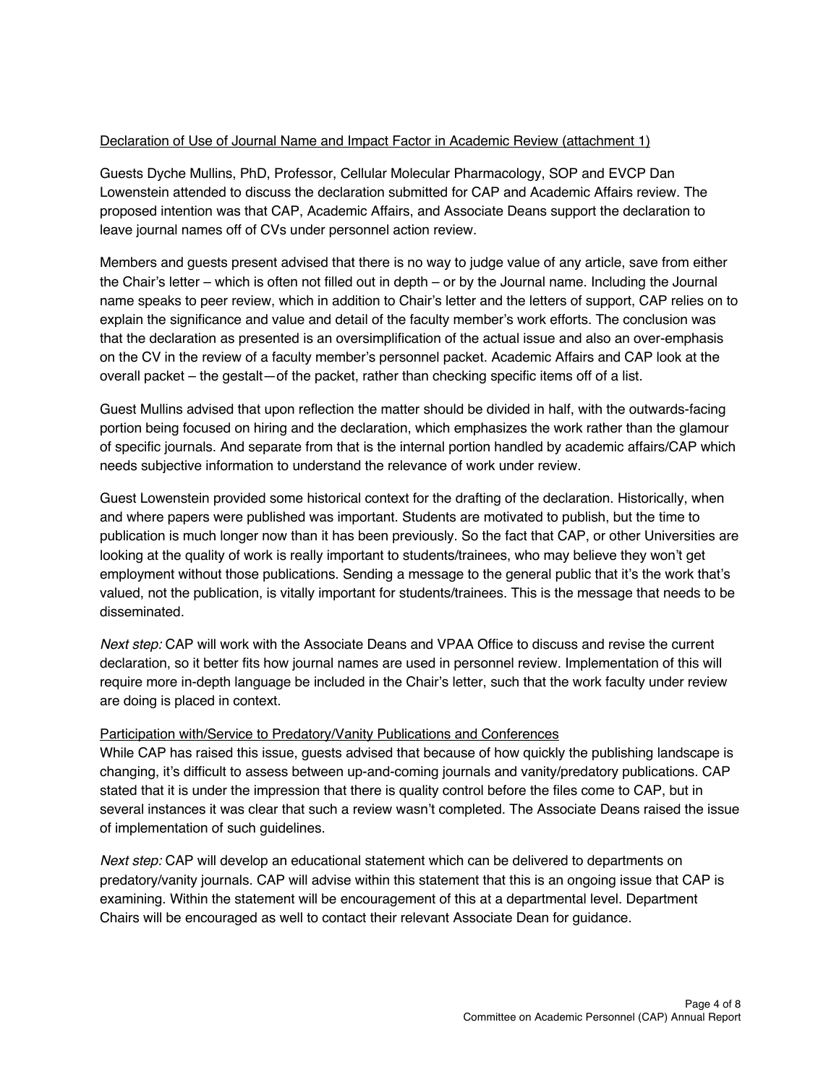## Declaration of Use of Journal Name and Impact Factor in Academic Review (attachment 1)

Guests Dyche Mullins, PhD, Professor, Cellular Molecular Pharmacology, SOP and EVCP Dan Lowenstein attended to discuss the declaration submitted for CAP and Academic Affairs review. The proposed intention was that CAP, Academic Affairs, and Associate Deans support the declaration to leave journal names off of CVs under personnel action review.

Members and guests present advised that there is no way to judge value of any article, save from either the Chair's letter – which is often not filled out in depth – or by the Journal name. Including the Journal name speaks to peer review, which in addition to Chair's letter and the letters of support, CAP relies on to explain the significance and value and detail of the faculty member's work efforts. The conclusion was that the declaration as presented is an oversimplification of the actual issue and also an over-emphasis on the CV in the review of a faculty member's personnel packet. Academic Affairs and CAP look at the overall packet – the gestalt—of the packet, rather than checking specific items off of a list.

Guest Mullins advised that upon reflection the matter should be divided in half, with the outwards-facing portion being focused on hiring and the declaration, which emphasizes the work rather than the glamour of specific journals. And separate from that is the internal portion handled by academic affairs/CAP which needs subjective information to understand the relevance of work under review.

Guest Lowenstein provided some historical context for the drafting of the declaration. Historically, when and where papers were published was important. Students are motivated to publish, but the time to publication is much longer now than it has been previously. So the fact that CAP, or other Universities are looking at the quality of work is really important to students/trainees, who may believe they won't get employment without those publications. Sending a message to the general public that it's the work that's valued, not the publication, is vitally important for students/trainees. This is the message that needs to be disseminated.

*Next step:* CAP will work with the Associate Deans and VPAA Office to discuss and revise the current declaration, so it better fits how journal names are used in personnel review. Implementation of this will require more in-depth language be included in the Chair's letter, such that the work faculty under review are doing is placed in context.

## Participation with/Service to Predatory/Vanity Publications and Conferences

While CAP has raised this issue, guests advised that because of how quickly the publishing landscape is changing, it's difficult to assess between up-and-coming journals and vanity/predatory publications. CAP stated that it is under the impression that there is quality control before the files come to CAP, but in several instances it was clear that such a review wasn't completed. The Associate Deans raised the issue of implementation of such guidelines.

*Next step:* CAP will develop an educational statement which can be delivered to departments on predatory/vanity journals. CAP will advise within this statement that this is an ongoing issue that CAP is examining. Within the statement will be encouragement of this at a departmental level. Department Chairs will be encouraged as well to contact their relevant Associate Dean for guidance.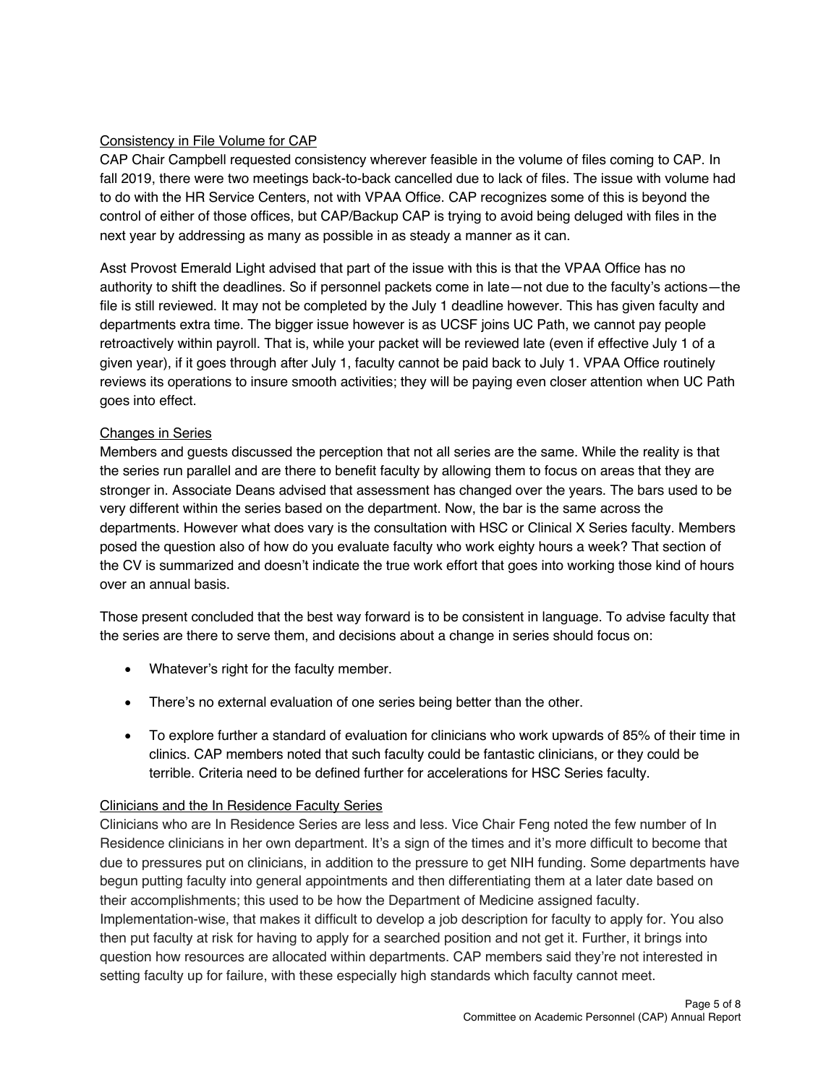## Consistency in File Volume for CAP

CAP Chair Campbell requested consistency wherever feasible in the volume of files coming to CAP. In fall 2019, there were two meetings back-to-back cancelled due to lack of files. The issue with volume had to do with the HR Service Centers, not with VPAA Office. CAP recognizes some of this is beyond the control of either of those offices, but CAP/Backup CAP is trying to avoid being deluged with files in the next year by addressing as many as possible in as steady a manner as it can.

Asst Provost Emerald Light advised that part of the issue with this is that the VPAA Office has no authority to shift the deadlines. So if personnel packets come in late—not due to the faculty's actions—the file is still reviewed. It may not be completed by the July 1 deadline however. This has given faculty and departments extra time. The bigger issue however is as UCSF joins UC Path, we cannot pay people retroactively within payroll. That is, while your packet will be reviewed late (even if effective July 1 of a given year), if it goes through after July 1, faculty cannot be paid back to July 1. VPAA Office routinely reviews its operations to insure smooth activities; they will be paying even closer attention when UC Path goes into effect.

## Changes in Series

Members and guests discussed the perception that not all series are the same. While the reality is that the series run parallel and are there to benefit faculty by allowing them to focus on areas that they are stronger in. Associate Deans advised that assessment has changed over the years. The bars used to be very different within the series based on the department. Now, the bar is the same across the departments. However what does vary is the consultation with HSC or Clinical X Series faculty. Members posed the question also of how do you evaluate faculty who work eighty hours a week? That section of the CV is summarized and doesn't indicate the true work effort that goes into working those kind of hours over an annual basis.

Those present concluded that the best way forward is to be consistent in language. To advise faculty that the series are there to serve them, and decisions about a change in series should focus on:

- Whatever's right for the faculty member.
- There's no external evaluation of one series being better than the other.
- To explore further a standard of evaluation for clinicians who work upwards of 85% of their time in clinics. CAP members noted that such faculty could be fantastic clinicians, or they could be terrible. Criteria need to be defined further for accelerations for HSC Series faculty.

## Clinicians and the In Residence Faculty Series

Clinicians who are In Residence Series are less and less. Vice Chair Feng noted the few number of In Residence clinicians in her own department. It's a sign of the times and it's more difficult to become that due to pressures put on clinicians, in addition to the pressure to get NIH funding. Some departments have begun putting faculty into general appointments and then differentiating them at a later date based on their accomplishments; this used to be how the Department of Medicine assigned faculty. Implementation-wise, that makes it difficult to develop a job description for faculty to apply for. You also then put faculty at risk for having to apply for a searched position and not get it. Further, it brings into question how resources are allocated within departments. CAP members said they're not interested in setting faculty up for failure, with these especially high standards which faculty cannot meet.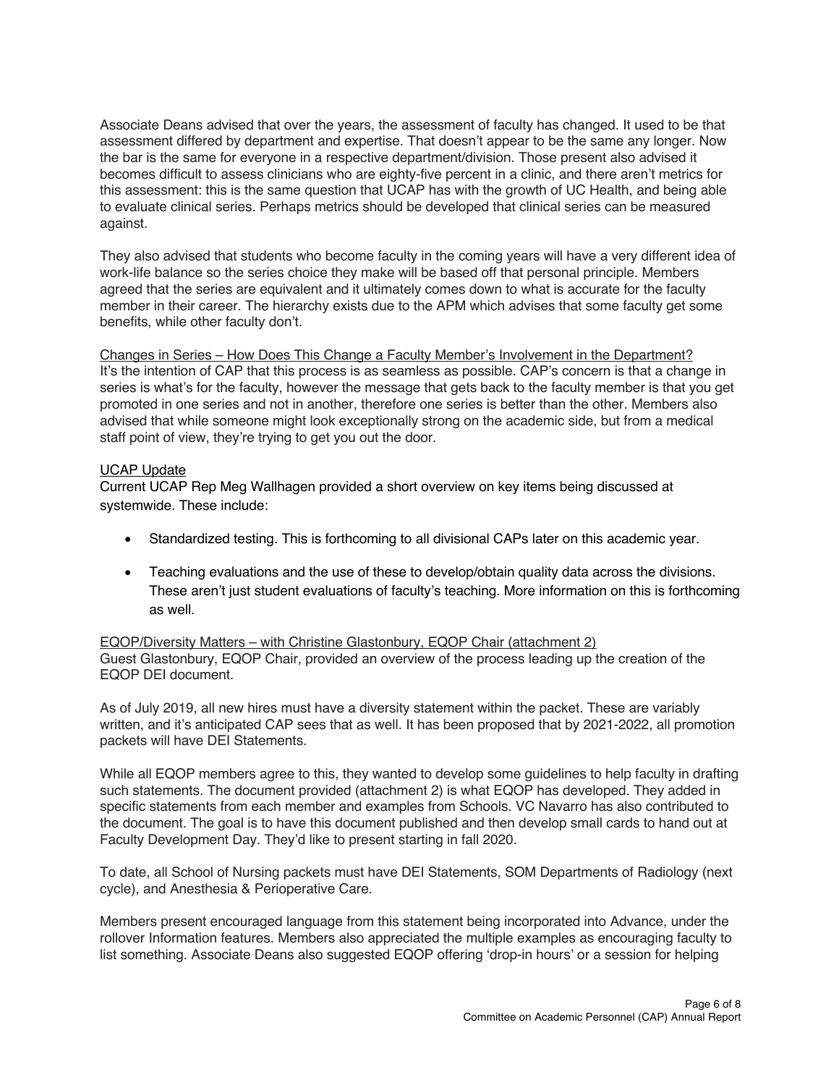Associate Deans advised that over the years, the assessment of faculty has changed. It used to be that assessment differed by department and expertise. That doesn't appear to be the same any longer. Now the bar is the same for everyone in a respective department/division. Those present also advised it becomes difficult to assess clinicians who are eighty-five percent in a clinic, and there aren't metrics for this assessment: this is the same question that UCAP has with the growth of UC Health, and being able to evaluate clinical series. Perhaps metrics should be developed that clinical series can be measured against.

They also advised that students who become faculty in the coming years will have a very different idea of work-life balance so the series choice they make will be based off that personal principle. Members agreed that the series are equivalent and it ultimately comes down to what is accurate for the faculty member in their career. The hierarchy exists due to the APM which advises that some faculty get some benefits, while other faculty don't.

Changes in Series – How Does This Change a Faculty Member's Involvement in the Department? It's the intention of CAP that this process is as seamless as possible. CAP's concern is that a change in series is what's for the faculty, however the message that gets back to the faculty member is that you get promoted in one series and not in another, therefore one series is better than the other. Members also advised that while someone might look exceptionally strong on the academic side, but from a medical staff point of view, they're trying to get you out the door.

## UCAP Update

Current UCAP Rep Meg Wallhagen provided a short overview on key items being discussed at systemwide. These include:

- Standardized testing. This is forthcoming to all divisional CAPs later on this academic year.
- Teaching evaluations and the use of these to develop/obtain quality data across the divisions. These aren't just student evaluations of faculty's teaching. More information on this is forthcoming as well.

EQOP/Diversity Matters – with Christine Glastonbury, EQOP Chair (attachment 2) Guest Glastonbury, EQOP Chair, provided an overview of the process leading up the creation of the EQOP DEI document.

As of July 2019, all new hires must have a diversity statement within the packet. These are variably written, and it's anticipated CAP sees that as well. It has been proposed that by 2021-2022, all promotion packets will have DEI Statements.

While all EQOP members agree to this, they wanted to develop some guidelines to help faculty in drafting such statements. The document provided (attachment 2) is what EQOP has developed. They added in specific statements from each member and examples from Schools. VC Navarro has also contributed to the document. The goal is to have this document published and then develop small cards to hand out at Faculty Development Day. They'd like to present starting in fall 2020.

To date, all School of Nursing packets must have DEI Statements, SOM Departments of Radiology (next cycle), and Anesthesia & Perioperative Care.

Members present encouraged language from this statement being incorporated into Advance, under the rollover Information features. Members also appreciated the multiple examples as encouraging faculty to list something. Associate Deans also suggested EQOP offering 'drop-in hours' or a session for helping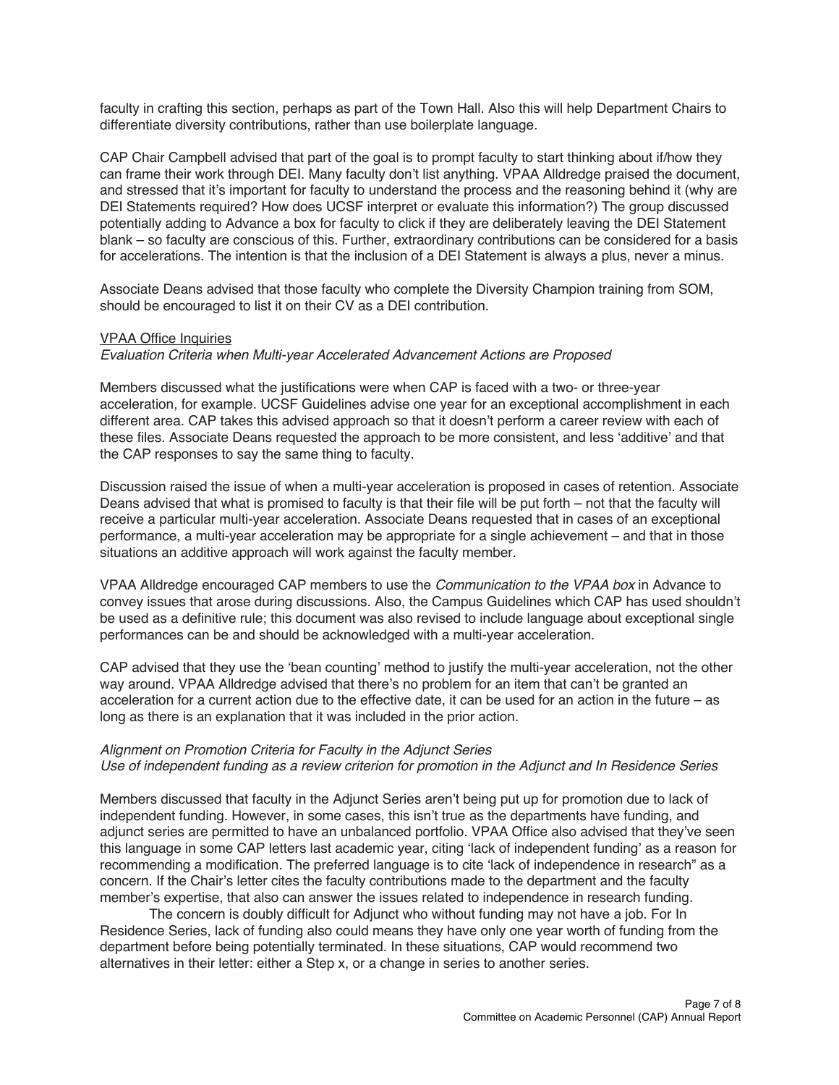faculty in crafting this section, perhaps as part of the Town Hall. Also this will help Department Chairs to differentiate diversity contributions, rather than use boilerplate language.

CAP Chair Campbell advised that part of the goal is to prompt faculty to start thinking about if/how they can frame their work through DEI. Many faculty don't list anything. VPAA Alldredge praised the document, and stressed that it's important for faculty to understand the process and the reasoning behind it (why are DEI Statements required? How does UCSF interpret or evaluate this information?) The group discussed potentially adding to Advance a box for faculty to click if they are deliberately leaving the DEI Statement blank – so faculty are conscious of this. Further, extraordinary contributions can be considered for a basis for accelerations. The intention is that the inclusion of a DEI Statement is always a plus, never a minus.

Associate Deans advised that those faculty who complete the Diversity Champion training from SOM, should be encouraged to list it on their CV as a DEI contribution.

## VPAA Office Inquiries

#### *Evaluation Criteria when Multi-year Accelerated Advancement Actions are Proposed*

Members discussed what the justifications were when CAP is faced with a two- or three-year acceleration, for example. UCSF Guidelines advise one year for an exceptional accomplishment in each different area. CAP takes this advised approach so that it doesn't perform a career review with each of these files. Associate Deans requested the approach to be more consistent, and less 'additive' and that the CAP responses to say the same thing to faculty.

Discussion raised the issue of when a multi-year acceleration is proposed in cases of retention. Associate Deans advised that what is promised to faculty is that their file will be put forth – not that the faculty will receive a particular multi-year acceleration. Associate Deans requested that in cases of an exceptional performance, a multi-year acceleration may be appropriate for a single achievement – and that in those situations an additive approach will work against the faculty member.

VPAA Alldredge encouraged CAP members to use the *Communication to the VPAA box* in Advance to convey issues that arose during discussions. Also, the Campus Guidelines which CAP has used shouldn't be used as a definitive rule; this document was also revised to include language about exceptional single performances can be and should be acknowledged with a multi-year acceleration.

CAP advised that they use the 'bean counting' method to justify the multi-year acceleration, not the other way around. VPAA Alldredge advised that there's no problem for an item that can't be granted an acceleration for a current action due to the effective date, it can be used for an action in the future – as long as there is an explanation that it was included in the prior action.

## *Alignment on Promotion Criteria for Faculty in the Adjunct Series Use of independent funding as a review criterion for promotion in the Adjunct and In Residence Series*

Members discussed that faculty in the Adjunct Series aren't being put up for promotion due to lack of independent funding. However, in some cases, this isn't true as the departments have funding, and adjunct series are permitted to have an unbalanced portfolio. VPAA Office also advised that they've seen this language in some CAP letters last academic year, citing 'lack of independent funding' as a reason for recommending a modification. The preferred language is to cite 'lack of independence in research" as a concern. If the Chair's letter cites the faculty contributions made to the department and the faculty member's expertise, that also can answer the issues related to independence in research funding.

The concern is doubly difficult for Adjunct who without funding may not have a job. For In Residence Series, lack of funding also could means they have only one year worth of funding from the department before being potentially terminated. In these situations, CAP would recommend two alternatives in their letter: either a Step x, or a change in series to another series.